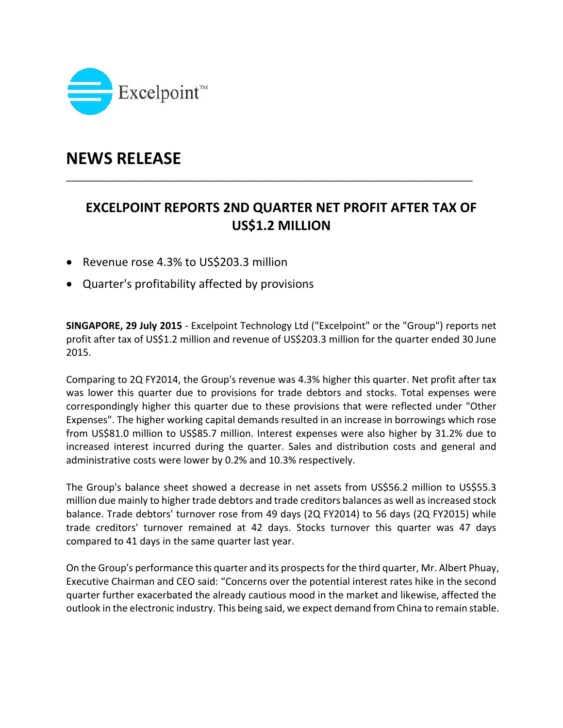

# **NEWS RELEASE**

## **EXCELPOINT REPORTS 2ND QUARTER NET PROFIT AFTER TAX OF US\$1.2 MILLION**

\_\_\_\_\_\_\_\_\_\_\_\_\_\_\_\_\_\_\_\_\_\_\_\_\_\_\_\_\_\_\_\_\_\_\_\_\_\_\_\_\_\_\_\_\_\_\_\_\_\_\_\_\_\_\_\_\_\_\_\_\_\_\_\_\_\_\_\_\_\_\_\_\_\_

- Revenue rose 4.3% to US\$203.3 million
- Quarter's profitability affected by provisions

**SINGAPORE, 29 July 2015** ‐ Excelpoint Technology Ltd ("Excelpoint" or the "Group") reports net profit after tax of US\$1.2 million and revenue of US\$203.3 million for the quarter ended 30 June 2015.

Comparing to 2Q FY2014, the Group's revenue was 4.3% higher this quarter. Net profit after tax was lower this quarter due to provisions for trade debtors and stocks. Total expenses were correspondingly higher this quarter due to these provisions that were reflected under "Other Expenses". The higher working capital demands resulted in an increase in borrowings which rose from US\$81.0 million to US\$85.7 million. Interest expenses were also higher by 31.2% due to increased interest incurred during the quarter. Sales and distribution costs and general and administrative costs were lower by 0.2% and 10.3% respectively.

The Group's balance sheet showed a decrease in net assets from US\$56.2 million to US\$55.3 million due mainly to higher trade debtors and trade creditors balances as well as increased stock balance. Trade debtors' turnover rose from 49 days (2Q FY2014) to 56 days (2Q FY2015) while trade creditors' turnover remained at 42 days. Stocks turnover this quarter was 47 days compared to 41 days in the same quarter last year.

On the Group's performance this quarter and its prospectsfor the third quarter, Mr. Albert Phuay, Executive Chairman and CEO said: "Concerns over the potential interest rates hike in the second quarter further exacerbated the already cautious mood in the market and likewise, affected the outlook in the electronic industry. This being said, we expect demand from China to remain stable.